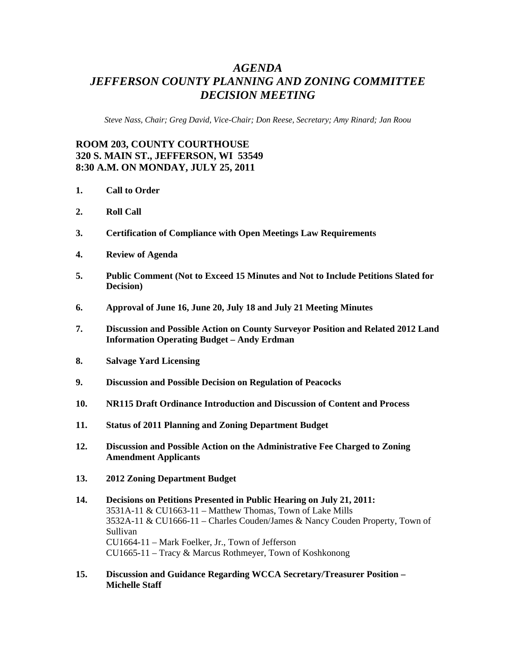## *AGENDA JEFFERSON COUNTY PLANNING AND ZONING COMMITTEE DECISION MEETING*

*Steve Nass, Chair; Greg David, Vice-Chair; Don Reese, Secretary; Amy Rinard; Jan Roou* 

## **ROOM 203, COUNTY COURTHOUSE 320 S. MAIN ST., JEFFERSON, WI 53549 8:30 A.M. ON MONDAY, JULY 25, 2011**

- **1. Call to Order**
- **2. Roll Call**
- **3. Certification of Compliance with Open Meetings Law Requirements**
- **4. Review of Agenda**
- **5. Public Comment (Not to Exceed 15 Minutes and Not to Include Petitions Slated for Decision)**
- **6. Approval of June 16, June 20, July 18 and July 21 Meeting Minutes**
- **7. Discussion and Possible Action on County Surveyor Position and Related 2012 Land Information Operating Budget – Andy Erdman**
- **8. Salvage Yard Licensing**
- **9. Discussion and Possible Decision on Regulation of Peacocks**
- **10. NR115 Draft Ordinance Introduction and Discussion of Content and Process**
- **11. Status of 2011 Planning and Zoning Department Budget**
- **12. Discussion and Possible Action on the Administrative Fee Charged to Zoning Amendment Applicants**
- **13. 2012 Zoning Department Budget**
- **14. Decisions on Petitions Presented in Public Hearing on July 21, 2011:**  3531A-11 & CU1663-11 – Matthew Thomas, Town of Lake Mills 3532A-11 & CU1666-11 – Charles Couden/James & Nancy Couden Property, Town of Sullivan CU1664-11 – Mark Foelker, Jr., Town of Jefferson CU1665-11 – Tracy & Marcus Rothmeyer, Town of Koshkonong
- **15. Discussion and Guidance Regarding WCCA Secretary/Treasurer Position Michelle Staff**